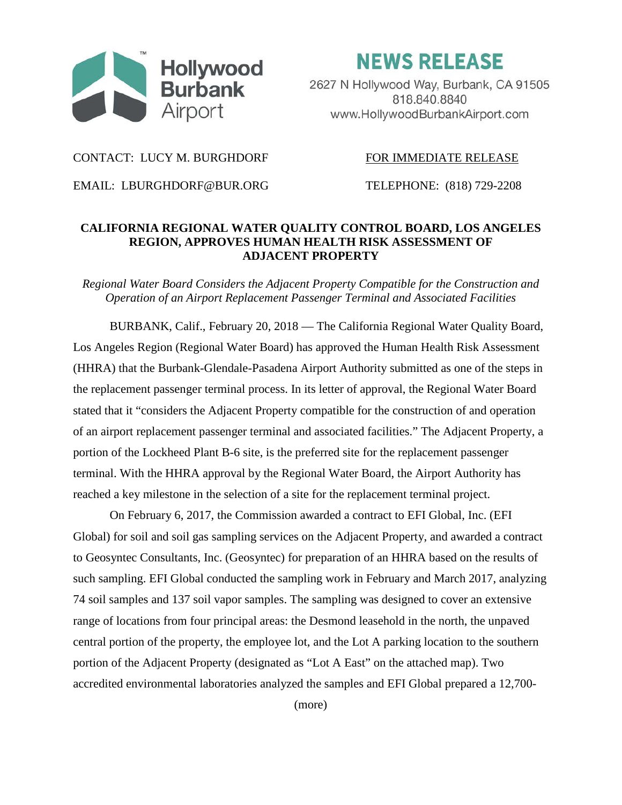

**NEWS RELEASE** 

2627 N Hollywood Way, Burbank, CA 91505 818.840.8840 www.HollywoodBurbankAirport.com

## CONTACT: LUCY M. BURGHDORF FOR IMMEDIATE RELEASE

EMAIL: LBURGHDORF@BUR.ORG TELEPHONE: (818) 729-2208

## **CALIFORNIA REGIONAL WATER QUALITY CONTROL BOARD, LOS ANGELES REGION, APPROVES HUMAN HEALTH RISK ASSESSMENT OF ADJACENT PROPERTY**

*Regional Water Board Considers the Adjacent Property Compatible for the Construction and Operation of an Airport Replacement Passenger Terminal and Associated Facilities*

BURBANK, Calif., February 20, 2018 — The California Regional Water Quality Board, Los Angeles Region (Regional Water Board) has approved the Human Health Risk Assessment (HHRA) that the Burbank-Glendale-Pasadena Airport Authority submitted as one of the steps in the replacement passenger terminal process. In its letter of approval, the Regional Water Board stated that it "considers the Adjacent Property compatible for the construction of and operation of an airport replacement passenger terminal and associated facilities." The Adjacent Property, a portion of the Lockheed Plant B-6 site, is the preferred site for the replacement passenger terminal. With the HHRA approval by the Regional Water Board, the Airport Authority has reached a key milestone in the selection of a site for the replacement terminal project.

On February 6, 2017, the Commission awarded a contract to EFI Global, Inc. (EFI Global) for soil and soil gas sampling services on the Adjacent Property, and awarded a contract to Geosyntec Consultants, Inc. (Geosyntec) for preparation of an HHRA based on the results of such sampling. EFI Global conducted the sampling work in February and March 2017, analyzing 74 soil samples and 137 soil vapor samples. The sampling was designed to cover an extensive range of locations from four principal areas: the Desmond leasehold in the north, the unpaved central portion of the property, the employee lot, and the Lot A parking location to the southern portion of the Adjacent Property (designated as "Lot A East" on the attached map). Two accredited environmental laboratories analyzed the samples and EFI Global prepared a 12,700-

(more)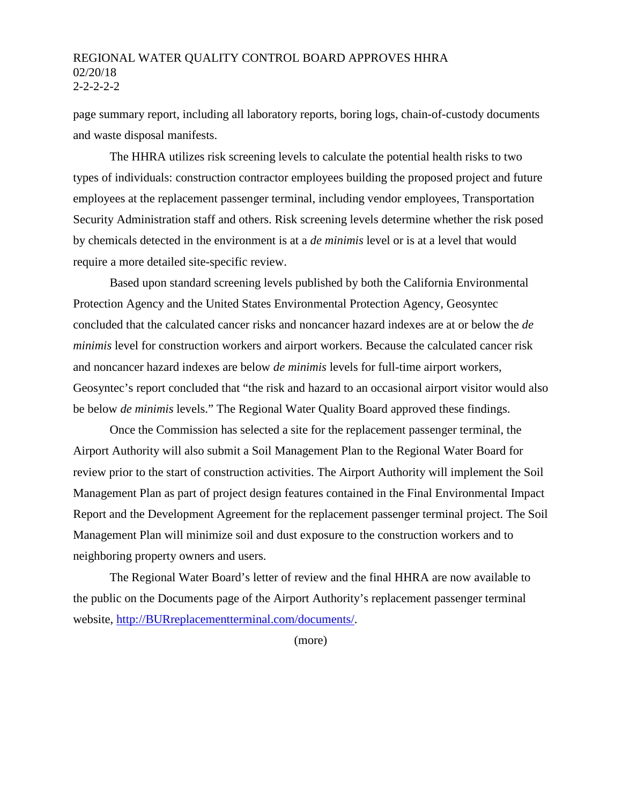## REGIONAL WATER QUALITY CONTROL BOARD APPROVES HHRA 02/20/18  $2 - 2 - 2 - 2$

page summary report, including all laboratory reports, boring logs, chain-of-custody documents and waste disposal manifests.

The HHRA utilizes risk screening levels to calculate the potential health risks to two types of individuals: construction contractor employees building the proposed project and future employees at the replacement passenger terminal, including vendor employees, Transportation Security Administration staff and others. Risk screening levels determine whether the risk posed by chemicals detected in the environment is at a *de minimis* level or is at a level that would require a more detailed site-specific review.

Based upon standard screening levels published by both the California Environmental Protection Agency and the United States Environmental Protection Agency, Geosyntec concluded that the calculated cancer risks and noncancer hazard indexes are at or below the *de minimis* level for construction workers and airport workers. Because the calculated cancer risk and noncancer hazard indexes are below *de minimis* levels for full-time airport workers, Geosyntec's report concluded that "the risk and hazard to an occasional airport visitor would also be below *de minimis* levels." The Regional Water Quality Board approved these findings.

Once the Commission has selected a site for the replacement passenger terminal, the Airport Authority will also submit a Soil Management Plan to the Regional Water Board for review prior to the start of construction activities. The Airport Authority will implement the Soil Management Plan as part of project design features contained in the Final Environmental Impact Report and the Development Agreement for the replacement passenger terminal project. The Soil Management Plan will minimize soil and dust exposure to the construction workers and to neighboring property owners and users.

The Regional Water Board's letter of review and the final HHRA are now available to the public on the Documents page of the Airport Authority's replacement passenger terminal website, [http://BURreplacementterminal.com/documents/.](http://burreplacementterminal.com/documents/)

(more)